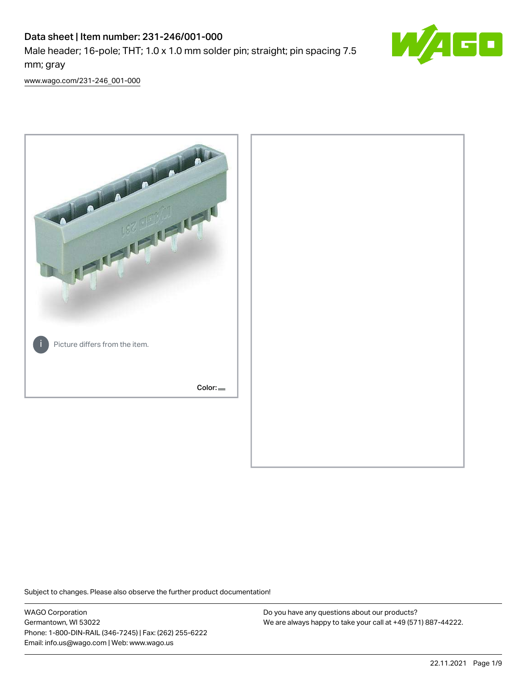# Data sheet | Item number: 231-246/001-000

Male header; 16-pole; THT; 1.0 x 1.0 mm solder pin; straight; pin spacing 7.5 mm; gray



[www.wago.com/231-246\\_001-000](http://www.wago.com/231-246_001-000)



Subject to changes. Please also observe the further product documentation!

WAGO Corporation Germantown, WI 53022 Phone: 1-800-DIN-RAIL (346-7245) | Fax: (262) 255-6222 Email: info.us@wago.com | Web: www.wago.us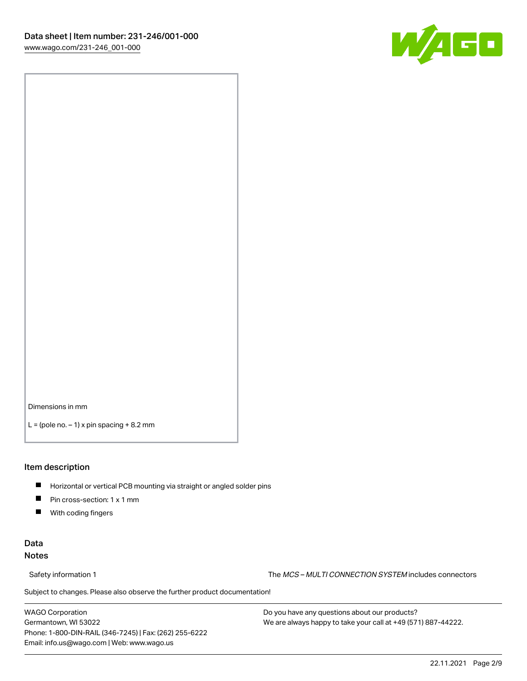

Dimensions in mm

 $L =$  (pole no.  $-1$ ) x pin spacing  $+8.2$  mm

#### Item description

- **Horizontal or vertical PCB mounting via straight or angled solder pins**
- **Pin cross-section: 1 x 1 mm**
- $\blacksquare$ With coding fingers

## Data Notes

Safety information 1 The MCS – MULTI CONNECTION SYSTEM includes connectors

Subject to changes. Please also observe the further product documentation!  $\nu$ 

WAGO Corporation Germantown, WI 53022 Phone: 1-800-DIN-RAIL (346-7245) | Fax: (262) 255-6222 Email: info.us@wago.com | Web: www.wago.us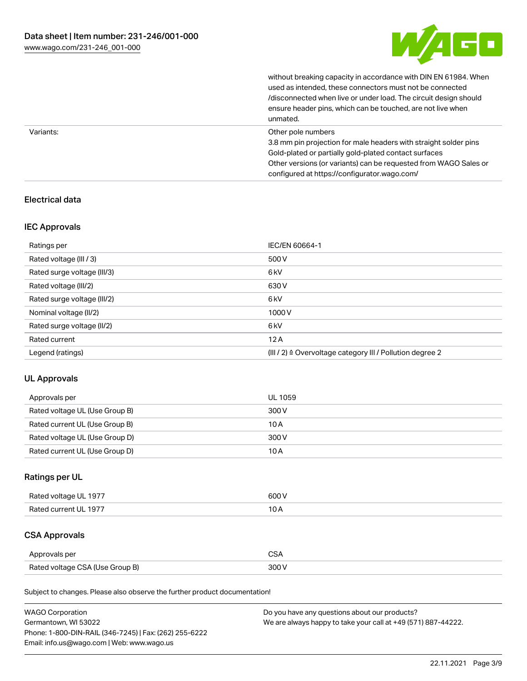

without breaking capacity in accordance with DIN EN 61984. When

|           | used as intended, these connectors must not be connected<br>/disconnected when live or under load. The circuit design should<br>ensure header pins, which can be touched, are not live when<br>unmated.                                                             |
|-----------|---------------------------------------------------------------------------------------------------------------------------------------------------------------------------------------------------------------------------------------------------------------------|
| Variants: | Other pole numbers<br>3.8 mm pin projection for male headers with straight solder pins<br>Gold-plated or partially gold-plated contact surfaces<br>Other versions (or variants) can be requested from WAGO Sales or<br>configured at https://configurator.wago.com/ |

## Electrical data

## IEC Approvals

| Ratings per                 | IEC/EN 60664-1                                                        |
|-----------------------------|-----------------------------------------------------------------------|
| Rated voltage (III / 3)     | 500 V                                                                 |
| Rated surge voltage (III/3) | 6 <sub>kV</sub>                                                       |
| Rated voltage (III/2)       | 630 V                                                                 |
| Rated surge voltage (III/2) | 6 <sub>kV</sub>                                                       |
| Nominal voltage (II/2)      | 1000V                                                                 |
| Rated surge voltage (II/2)  | 6 <sub>kV</sub>                                                       |
| Rated current               | 12A                                                                   |
| Legend (ratings)            | $(III / 2)$ $\triangle$ Overvoltage category III / Pollution degree 2 |

## UL Approvals

| Approvals per                  | UL 1059 |
|--------------------------------|---------|
| Rated voltage UL (Use Group B) | 300 V   |
| Rated current UL (Use Group B) | 10 A    |
| Rated voltage UL (Use Group D) | 300 V   |
| Rated current UL (Use Group D) | 10 A    |

## Ratings per UL

| Rated voltage UL 1977 | 600 V |
|-----------------------|-------|
| Rated current UL 1977 |       |

# CSA Approvals

| Approvals per                   | $\sim$ |
|---------------------------------|--------|
| Rated voltage CSA (Use Group B) | 300 V  |

Subject to changes. Please also observe the further product documentation!

| <b>WAGO Corporation</b>                                | Do you have any questions about our products?                 |
|--------------------------------------------------------|---------------------------------------------------------------|
| Germantown, WI 53022                                   | We are always happy to take your call at +49 (571) 887-44222. |
| Phone: 1-800-DIN-RAIL (346-7245)   Fax: (262) 255-6222 |                                                               |
| Email: info.us@wago.com   Web: www.wago.us             |                                                               |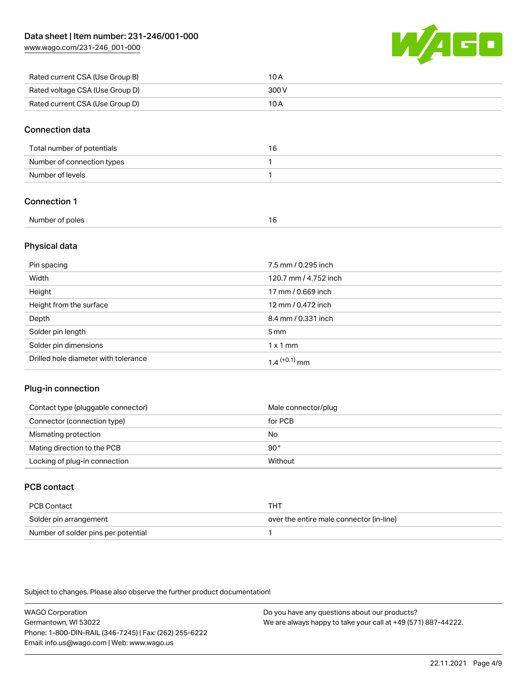[www.wago.com/231-246\\_001-000](http://www.wago.com/231-246_001-000)



| Rated current CSA (Use Group B) | 10 A  |
|---------------------------------|-------|
| Rated voltage CSA (Use Group D) | 300 V |
| Rated current CSA (Use Group D) | 10 A  |

## Connection data

| Total number of potentials | 16 |
|----------------------------|----|
| Number of connection types |    |
| Number of levels           |    |

## Connection 1

| Number of poles |  |
|-----------------|--|
|                 |  |

## Physical data

| Pin spacing                          | 7.5 mm / 0.295 inch   |
|--------------------------------------|-----------------------|
| Width                                | 120.7 mm / 4.752 inch |
| Height                               | 17 mm / 0.669 inch    |
| Height from the surface              | 12 mm / 0.472 inch    |
| Depth                                | 8.4 mm / 0.331 inch   |
| Solder pin length                    | $5 \,\mathrm{mm}$     |
| Solder pin dimensions                | $1 \times 1$ mm       |
| Drilled hole diameter with tolerance | $1.4$ $(+0.1)$ mm     |

## Plug-in connection

| Contact type (pluggable connector) | Male connector/plug |
|------------------------------------|---------------------|
| Connector (connection type)        | for PCB             |
| Mismating protection               | No                  |
| Mating direction to the PCB        | 90°                 |
| Locking of plug-in connection      | Without             |

## PCB contact

| PCB Contact                         | тнт                                      |
|-------------------------------------|------------------------------------------|
| Solder pin arrangement              | over the entire male connector (in-line) |
| Number of solder pins per potential |                                          |

Subject to changes. Please also observe the further product documentation!

WAGO Corporation Germantown, WI 53022 Phone: 1-800-DIN-RAIL (346-7245) | Fax: (262) 255-6222 Email: info.us@wago.com | Web: www.wago.us Do you have any questions about our products? We are always happy to take your call at +49 (571) 887-44222.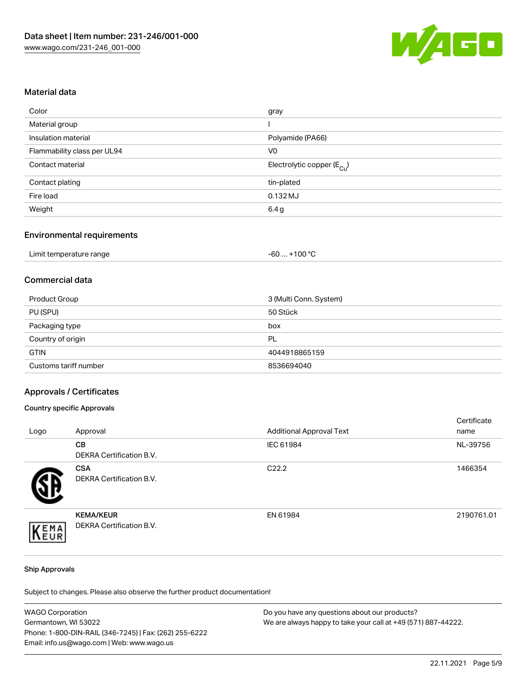

### Material data

| gray                                   |
|----------------------------------------|
|                                        |
| Polyamide (PA66)                       |
| V <sub>0</sub>                         |
| Electrolytic copper (E <sub>Cu</sub> ) |
| tin-plated                             |
| $0.132$ MJ                             |
| 6.4 g                                  |
|                                        |

## Environmental requirements

| Limit temperature range | $+100 °C$<br>-60 |
|-------------------------|------------------|
|-------------------------|------------------|

# Commercial data

| Product Group         | 3 (Multi Conn. System) |
|-----------------------|------------------------|
| PU (SPU)              | 50 Stück               |
| Packaging type        | box                    |
| Country of origin     | PL                     |
| <b>GTIN</b>           | 4044918865159          |
| Customs tariff number | 8536694040             |

#### Approvals / Certificates

#### Country specific Approvals

| Logo | Approval                                            | <b>Additional Approval Text</b> | Certificate<br>name |
|------|-----------------------------------------------------|---------------------------------|---------------------|
|      | <b>CB</b><br>DEKRA Certification B.V.               | IEC 61984                       | NL-39756            |
|      | <b>CSA</b><br>DEKRA Certification B.V.              | C <sub>22.2</sub>               | 1466354             |
| EMA  | <b>KEMA/KEUR</b><br><b>DEKRA Certification B.V.</b> | EN 61984                        | 2190761.01          |

#### Ship Approvals

Subject to changes. Please also observe the further product documentation!

| <b>WAGO Corporation</b>                                | Do you have any questions about our products?                 |
|--------------------------------------------------------|---------------------------------------------------------------|
| Germantown, WI 53022                                   | We are always happy to take your call at +49 (571) 887-44222. |
| Phone: 1-800-DIN-RAIL (346-7245)   Fax: (262) 255-6222 |                                                               |
| Email: info.us@wago.com   Web: www.wago.us             |                                                               |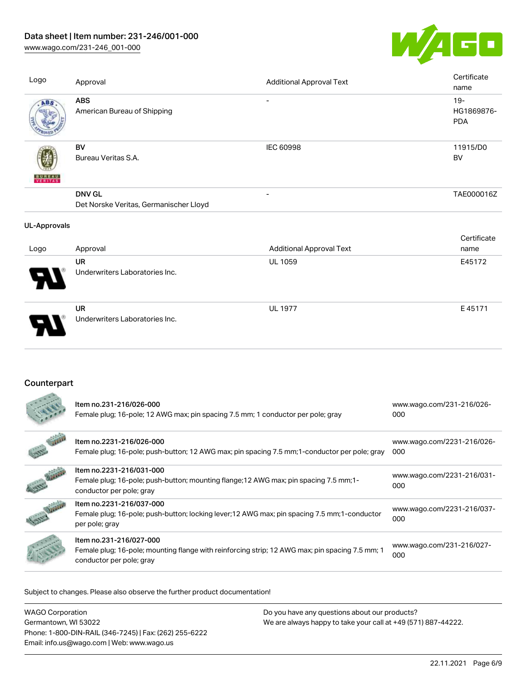# Data sheet | Item number: 231-246/001-000

[www.wago.com/231-246\\_001-000](http://www.wago.com/231-246_001-000)



| Logo                | Approval                                                | <b>Additional Approval Text</b> | Certificate<br>name                |
|---------------------|---------------------------------------------------------|---------------------------------|------------------------------------|
| ABS                 | <b>ABS</b><br>American Bureau of Shipping               |                                 | $19 -$<br>HG1869876-<br><b>PDA</b> |
| <b>BUNEAU</b>       | <b>BV</b><br>Bureau Veritas S.A.                        | IEC 60998                       | 11915/D0<br>BV                     |
|                     | <b>DNV GL</b><br>Det Norske Veritas, Germanischer Lloyd | $\qquad \qquad \blacksquare$    | TAE000016Z                         |
| <b>UL-Approvals</b> |                                                         |                                 |                                    |
| Logo                | Approval                                                | <b>Additional Approval Text</b> | Certificate<br>name                |
|                     | UR<br>Underwriters Laboratories Inc.                    | UL 1059                         | E45172                             |
|                     | <b>UR</b><br>Underwriters Laboratories Inc.             | <b>UL 1977</b>                  | E45171                             |

# **Counterpart**

|               | Item no.231-216/026-000<br>Female plug; 16-pole; 12 AWG max; pin spacing 7.5 mm; 1 conductor per pole; gray                                            | www.wago.com/231-216/026-<br>000  |
|---------------|--------------------------------------------------------------------------------------------------------------------------------------------------------|-----------------------------------|
|               | Item no.2231-216/026-000<br>Female plug; 16-pole; push-button; 12 AWG max; pin spacing 7.5 mm; 1-conductor per pole; gray                              | www.wago.com/2231-216/026-<br>000 |
| $\mathcal{L}$ | Item no.2231-216/031-000<br>Female plug; 16-pole; push-button; mounting flange; 12 AWG max; pin spacing 7.5 mm; 1-<br>conductor per pole; gray         | www.wago.com/2231-216/031-<br>000 |
|               | Item no.2231-216/037-000<br>Female plug; 16-pole; push-button; locking lever; 12 AWG max; pin spacing 7.5 mm; 1-conductor<br>per pole; gray            | www.wago.com/2231-216/037-<br>000 |
|               | Item no.231-216/027-000<br>Female plug; 16-pole; mounting flange with reinforcing strip; 12 AWG max; pin spacing 7.5 mm; 1<br>conductor per pole; gray | www.wago.com/231-216/027-<br>000  |

Subject to changes. Please also observe the further product documentation!

| WAGO Corporation                                       | Do you have any questions about our products?                 |
|--------------------------------------------------------|---------------------------------------------------------------|
| Germantown, WI 53022                                   | We are always happy to take your call at +49 (571) 887-44222. |
| Phone: 1-800-DIN-RAIL (346-7245)   Fax: (262) 255-6222 |                                                               |
| Email: info.us@wago.com   Web: www.wago.us             |                                                               |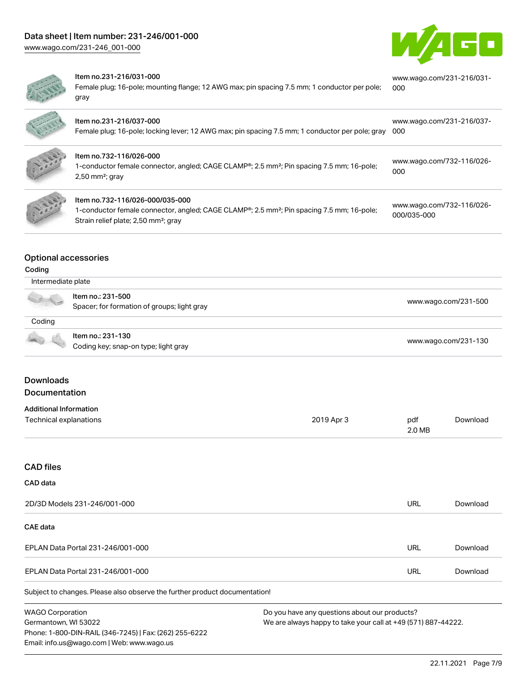



#### Item no.231-216/031-000

Female plug; 16-pole; mounting flange; 12 AWG max; pin spacing 7.5 mm; 1 conductor per pole; gray [www.wago.com/231-216/031-](https://www.wago.com/231-216/031-000) [000](https://www.wago.com/231-216/031-000)

|               | Item no.231-216/037-000<br>Female plug; 16-pole; locking lever; 12 AWG max; pin spacing 7.5 mm; 1 conductor per pole; gray                                                                                | www.wago.com/231-216/037-<br>-000        |
|---------------|-----------------------------------------------------------------------------------------------------------------------------------------------------------------------------------------------------------|------------------------------------------|
|               | Item no.732-116/026-000<br>1-conductor female connector, angled; CAGE CLAMP <sup>®</sup> ; 2.5 mm <sup>2</sup> ; Pin spacing 7.5 mm; 16-pole;<br>$2,50$ mm <sup>2</sup> ; gray                            | www.wago.com/732-116/026-<br>000         |
| $\frac{1}{2}$ | Item no.732-116/026-000/035-000<br>1-conductor female connector, angled; CAGE CLAMP <sup>®</sup> ; 2.5 mm <sup>2</sup> ; Pin spacing 7.5 mm; 16-pole;<br>Strain relief plate; 2,50 mm <sup>2</sup> ; gray | www.wago.com/732-116/026-<br>000/035-000 |

### Optional accessories

### Coding

**All Division** 

| A VE   | ltem no.: 231-500<br>Spacer; for formation of groups; light gray | www.wago.com/231-500 |
|--------|------------------------------------------------------------------|----------------------|
| Coding |                                                                  |                      |
|        | Item no.: 231-130<br>Coding key; snap-on type; light gray        | www.wago.com/231-130 |

# Downloads **Documentation**

### Additional Information

| Technical explanations | 2019 Apr 3 | pdf    | Download |
|------------------------|------------|--------|----------|
|                        |            | 2.0 MB |          |

## CAD files

| CAD data                                                                   |     |          |
|----------------------------------------------------------------------------|-----|----------|
| 2D/3D Models 231-246/001-000                                               | URL | Download |
| CAE data                                                                   |     |          |
| EPLAN Data Portal 231-246/001-000                                          | URL | Download |
| EPLAN Data Portal 231-246/001-000                                          | URL | Download |
| Subject to changes. Please also observe the further product documentation! |     |          |

WAGO Corporation Germantown, WI 53022 Phone: 1-800-DIN-RAIL (346-7245) | Fax: (262) 255-6222 Email: info.us@wago.com | Web: www.wago.us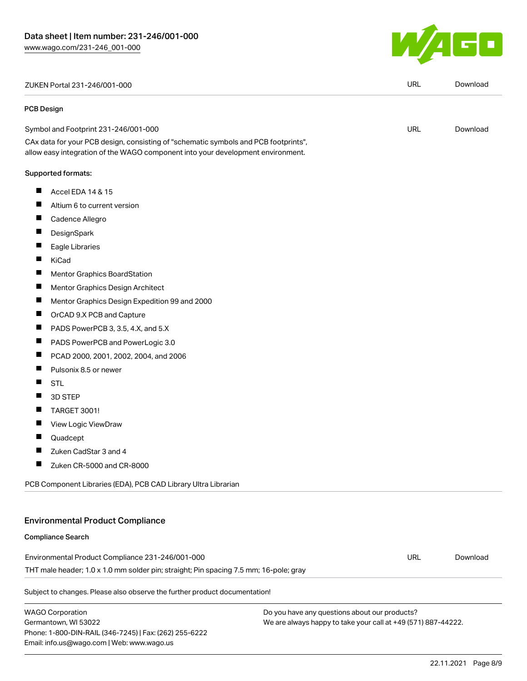ZUKEN Portal 231-246/001-000 URL [Download](https://www.wago.com/global/d/Zuken_URLS_231-246_001-000)

#### PCB Design

#### Symbol and Footprint 231-246/001-000 CAx data for your PCB design, consisting of "schematic symbols and PCB footprints", URL [Download](https://www.wago.com/global/d/UltraLibrarian_URLS_231-246_001-000)

#### Supported formats:

- $\blacksquare$ Accel EDA 14 & 15
- $\blacksquare$ Altium 6 to current version
- $\blacksquare$ Cadence Allegro
- $\blacksquare$ **DesignSpark**
- $\blacksquare$ Eagle Libraries
- $\blacksquare$ KiCad
- $\blacksquare$ Mentor Graphics BoardStation
- $\blacksquare$ Mentor Graphics Design Architect
- $\blacksquare$ Mentor Graphics Design Expedition 99 and 2000

allow easy integration of the WAGO component into your development environment.

- $\blacksquare$ OrCAD 9.X PCB and Capture
- $\blacksquare$ PADS PowerPCB 3, 3.5, 4.X, and 5.X
- $\blacksquare$ PADS PowerPCB and PowerLogic 3.0
- $\blacksquare$ PCAD 2000, 2001, 2002, 2004, and 2006
- $\blacksquare$ Pulsonix 8.5 or newer
- $\blacksquare$ STL
- $\blacksquare$ 3D STEP
- $\blacksquare$ TARGET 3001!
- $\blacksquare$ View Logic ViewDraw
- П Quadcept
- $\blacksquare$ Zuke
- $\blacksquare$ Zuke

Phone: 1-800-DIN-RAIL (346-7245) | Fax: (262) 255-6222

Email: info.us@wago.com | Web: www.wago.us

| <b>Compliance Search</b>                                                              |  |                                                               |          |  |
|---------------------------------------------------------------------------------------|--|---------------------------------------------------------------|----------|--|
| Environmental Product Compliance 231-246/001-000                                      |  |                                                               | Download |  |
| THT male header; 1.0 x 1.0 mm solder pin; straight; Pin spacing 7.5 mm; 16-pole; gray |  |                                                               |          |  |
| Subject to changes. Please also observe the further product documentation!            |  |                                                               |          |  |
| <b>WAGO Corporation</b>                                                               |  | Do you have any questions about our products?                 |          |  |
| Germantown, WI 53022                                                                  |  | We are always happy to take your call at +49 (571) 887-44222. |          |  |

We are always happy to take your call at +49 (571) 887-44222.

 $\overline{\phantom{a}}$ 

| Zuken CadStar 3 and 4                                                                 |     |         |
|---------------------------------------------------------------------------------------|-----|---------|
| Ш<br>Zuken CR-5000 and CR-8000                                                        |     |         |
| PCB Component Libraries (EDA), PCB CAD Library Ultra Librarian                        |     |         |
|                                                                                       |     |         |
| <b>Environmental Product Compliance</b>                                               |     |         |
| <b>Compliance Search</b>                                                              |     |         |
| Environmental Product Compliance 231-246/001-000                                      | URL | Downloa |
| THT male header; 1.0 x 1.0 mm solder pin; straight; Pin spacing 7.5 mm; 16-pole; gray |     |         |
| Subject to changes. Please also observe the further product documentation!            |     |         |
|                                                                                       |     |         |